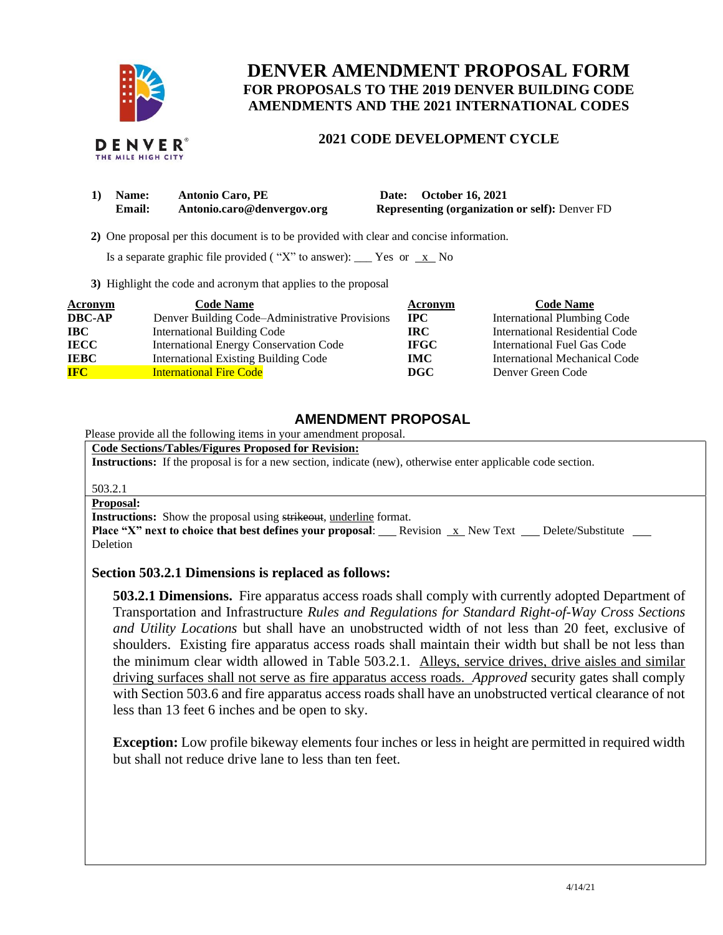

# **DENVER AMENDMENT PROPOSAL FORM FOR PROPOSALS TO THE 2019 DENVER BUILDING CODE AMENDMENTS AND THE 2021 INTERNATIONAL CODES**

## **2021 CODE DEVELOPMENT CYCLE**

| 1) Name: | <b>Antonio Caro, PE</b>    | Date: October 16, 2021                                |
|----------|----------------------------|-------------------------------------------------------|
| Email:   | Antonio.caro@denvergov.org | <b>Representing (organization or self): Denver FD</b> |

 **2)** One proposal per this document is to be provided with clear and concise information.

Is a separate graphic file provided ("X" to answer): \_\_\_ Yes or  $\overline{x}$  No

**3)** Highlight the code and acronym that applies to the proposal

| Acronym       | <b>Code Name</b>                               | Acronym     | <b>Code Name</b>                   |
|---------------|------------------------------------------------|-------------|------------------------------------|
| <b>DBC-AP</b> | Denver Building Code-Administrative Provisions | <b>IPC</b>  | <b>International Plumbing Code</b> |
| <b>IBC</b>    | <b>International Building Code</b>             | IRC-        | International Residential Code     |
| <b>IECC</b>   | <b>International Energy Conservation Code</b>  | <b>IFGC</b> | International Fuel Gas Code        |
| <b>IEBC</b>   | <b>International Existing Building Code</b>    | <b>IMC</b>  | International Mechanical Code      |
| <b>IFC</b>    | <b>International Fire Code</b>                 | DGC         | Denver Green Code                  |

# **AMENDMENT PROPOSAL**

Please provide all the following items in your amendment proposal.

**Code Sections/Tables/Figures Proposed for Revision:**

**Instructions:** If the proposal is for a new section, indicate (new), otherwise enter applicable code section.

503.2.1

### **Proposal:**

**Instructions:** Show the proposal using strikeout, underline format.

**Place "X" next to choice that best defines your proposal:** Revision x New Text Delete/Substitute \_\_ Deletion

### **Section 503.2.1 Dimensions is replaced as follows:**

**503.2.1 Dimensions.** Fire apparatus access roads shall comply with currently adopted Department of Transportation and Infrastructure *Rules and Regulations for Standard Right-of-Way Cross Sections and Utility Locations* but shall have an unobstructed width of not less than 20 feet, exclusive of shoulders. Existing fire apparatus access roads shall maintain their width but shall be not less than the minimum clear width allowed in Table 503.2.1. Alleys, service drives, drive aisles and similar driving surfaces shall not serve as fire apparatus access roads. *Approved* security gates shall comply with Section 503.6 and fire apparatus access roads shall have an unobstructed vertical clearance of not less than 13 feet 6 inches and be open to sky.

**Exception:** Low profile bikeway elements four inches or less in height are permitted in required width but shall not reduce drive lane to less than ten feet.